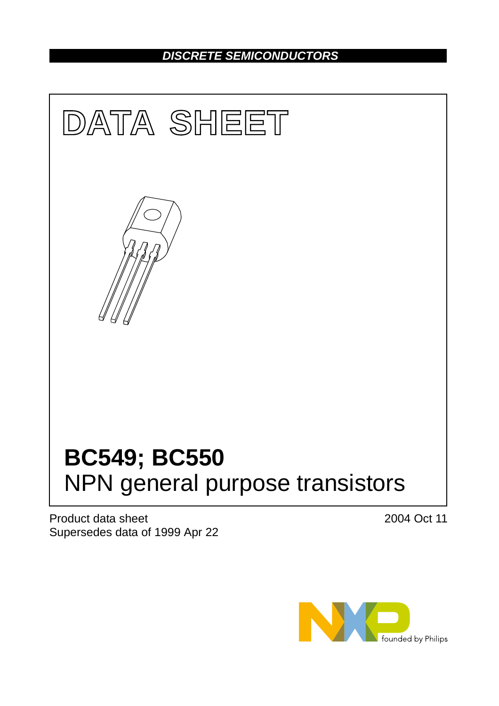## *DISCRETE SEMICONDUCTORS*



Product data sheet Supersedes data of 1999 Apr 22 2004 Oct 11

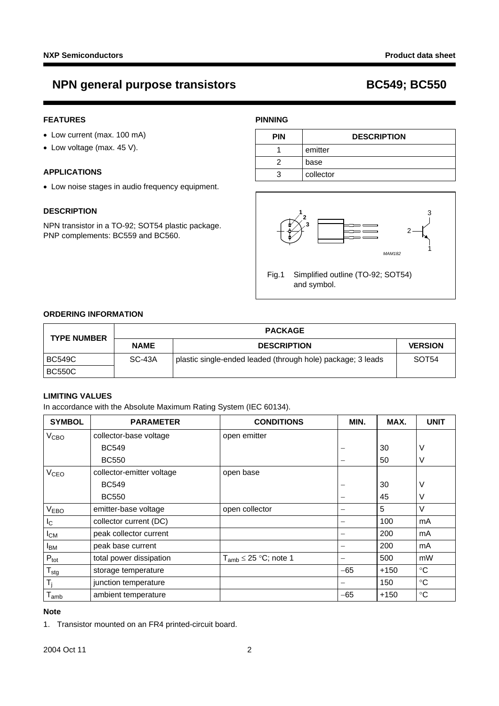## **NPN general purpose transistors BC549; BC550**

#### **FEATURES**

- Low current (max. 100 mA)
- Low voltage (max. 45 V).

#### **APPLICATIONS**

• Low noise stages in audio frequency equipment.

#### **DESCRIPTION**

NPN transistor in a TO-92; SOT54 plastic package. PNP complements: BC559 and BC560.

#### **PINNING**

| <b>PIN</b> | <b>DESCRIPTION</b> |  |
|------------|--------------------|--|
|            | emitter            |  |
|            | base               |  |
|            | collector          |  |



Fig.1 Simplified outline (TO-92; SOT54) and symbol.

### **ORDERING INFORMATION**

| <b>TYPE NUMBER</b> | <b>PACKAGE</b> |                                                             |                   |  |
|--------------------|----------------|-------------------------------------------------------------|-------------------|--|
|                    | <b>NAME</b>    | <b>DESCRIPTION</b>                                          | <b>VERSION</b>    |  |
| <b>BC549C</b>      | SC-43A         | plastic single-ended leaded (through hole) package; 3 leads | SOT <sub>54</sub> |  |
| <b>BC550C</b>      |                |                                                             |                   |  |

#### **LIMITING VALUES**

In accordance with the Absolute Maximum Rating System (IEC 60134).

| <b>SYMBOL</b>               | <b>PARAMETER</b>          | <b>CONDITIONS</b>            | MIN.  | MAX.   | <b>UNIT</b>     |
|-----------------------------|---------------------------|------------------------------|-------|--------|-----------------|
| V <sub>CBO</sub>            | collector-base voltage    | open emitter                 |       |        |                 |
|                             | <b>BC549</b>              |                              |       | 30     | ٧               |
|                             | <b>BC550</b>              |                              |       | 50     | V               |
| V <sub>CEO</sub>            | collector-emitter voltage | open base                    |       |        |                 |
|                             | <b>BC549</b>              |                              |       | 30     | ٧               |
|                             | <b>BC550</b>              |                              |       | 45     | V               |
| V <sub>EBO</sub>            | emitter-base voltage      | open collector               |       | 5      | V               |
| <sub>IC</sub>               | collector current (DC)    |                              |       | 100    | mA              |
| $I_{CM}$                    | peak collector current    |                              |       | 200    | mA              |
| <b>I</b> <sub>BM</sub>      | peak base current         |                              | —     | 200    | mA              |
| $P_{\text{tot}}$            | total power dissipation   | $T_{amb} \leq 25$ °C; note 1 | —     | 500    | mW              |
| $T_{\text{stg}}$            | storage temperature       |                              | $-65$ | $+150$ | $\rm ^{\circ}C$ |
| $T_i$                       | junction temperature      |                              |       | 150    | $^{\circ}C$     |
| $\mathsf{T}_{\mathsf{amb}}$ | ambient temperature       |                              | $-65$ | $+150$ | $\rm ^{\circ}C$ |

#### **Note**

<span id="page-1-0"></span>1. Transistor mounted on an FR4 printed-circuit board.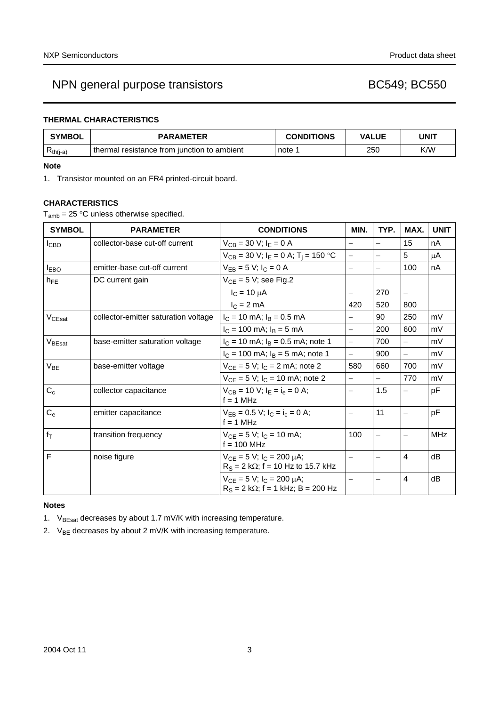## NPN general purpose transistors and a set of the BC549; BC550

### **THERMAL CHARACTERISTICS**

| <b>SYMBOL</b> | <b>PARAMETER</b>                              | <b>CONDITIONS</b> | <b>VALUE</b> | UNI1 |  |
|---------------|-----------------------------------------------|-------------------|--------------|------|--|
| $R_{th(j-a)}$ | I thermal resistance from junction to ambient | note 1            | 250          | K/W  |  |

#### **Note**

<span id="page-2-2"></span>1. Transistor mounted on an FR4 printed-circuit board.

### **CHARACTERISTICS**

 $T_{amb}$  = 25 °C unless otherwise specified.

| <b>SYMBOL</b>      | <b>PARAMETER</b>                     | <b>CONDITIONS</b>                                                                 | MIN.                     | TYP.                     | MAX.                     | <b>UNIT</b> |
|--------------------|--------------------------------------|-----------------------------------------------------------------------------------|--------------------------|--------------------------|--------------------------|-------------|
| I <sub>CBO</sub>   | collector-base cut-off current       | $V_{CB} = 30 V; IE = 0 A$                                                         | $\overline{\phantom{0}}$ | $\overline{\phantom{0}}$ | 15                       | nA          |
|                    |                                      | $V_{CB}$ = 30 V; $I_E$ = 0 A; T <sub>i</sub> = 150 °C                             | $\overline{\phantom{0}}$ | $\overline{\phantom{0}}$ | 5                        | μA          |
| <b>IEBO</b>        | emitter-base cut-off current         | $V_{EB} = 5 V$ ; $I_C = 0 A$                                                      | $\equiv$                 | $\overline{\phantom{0}}$ | 100                      | nA          |
| $h_{FF}$           | DC current gain                      | $V_{CE} = 5 V$ ; see Fig.2                                                        |                          |                          |                          |             |
|                    |                                      | $I_C = 10 \mu A$                                                                  |                          | 270                      |                          |             |
|                    |                                      | $IC = 2 mA$                                                                       | 420                      | 520                      | 800                      |             |
| V <sub>CEsat</sub> | collector-emitter saturation voltage | $I_C = 10$ mA; $I_B = 0.5$ mA                                                     | $\overline{\phantom{0}}$ | 90                       | 250                      | mV          |
|                    |                                      | $I_C = 100$ mA; $I_B = 5$ mA                                                      | $\overline{\phantom{0}}$ | 200                      | 600                      | mV          |
| V <sub>BEsat</sub> | base-emitter saturation voltage      | $I_C = 10$ mA; $I_B = 0.5$ mA; note 1                                             | L,                       | 700                      |                          | mV          |
|                    |                                      | $I_C = 100$ mA; $I_B = 5$ mA; note 1                                              | $\overline{\phantom{0}}$ | 900                      | $\overline{\phantom{0}}$ | mV          |
| $V_{BE}$           | base-emitter voltage                 | $V_{CE} = 5 V$ ; $I_C = 2 mA$ ; note 2                                            | 580                      | 660                      | 700                      | mV          |
|                    |                                      | $V_{CE} = 5 V$ ; $I_C = 10$ mA; note 2                                            | $\equiv$                 | $\overline{\phantom{0}}$ | 770                      | mV          |
| $C_{c}$            | collector capacitance                | $V_{CB} = 10$ V; $I_E = I_e = 0$ A;<br>$f = 1$ MHz                                | $\overline{\phantom{0}}$ | 1.5                      |                          | pF          |
| $C_{e}$            | emitter capacitance                  | $V_{FB} = 0.5 V$ ; $I_C = I_c = 0 A$ ;<br>$f = 1$ MHz                             | $\equiv$                 | 11                       |                          | pF          |
| $f_T$              | transition frequency                 | $V_{CE} = 5 V$ ; $I_C = 10$ mA;<br>$f = 100$ MHz                                  | 100                      | $\overline{\phantom{0}}$ |                          | <b>MHz</b>  |
| F                  | noise figure                         | $V_{CE} = 5 V$ ; $I_C = 200 \mu A$ ;<br>$R_S = 2 k\Omega$ ; f = 10 Hz to 15.7 kHz | $\overline{\phantom{0}}$ |                          | $\overline{4}$           | dB          |
|                    |                                      | $V_{CF} = 5 V$ ; $I_C = 200 \mu A$ ;<br>$R_S = 2 k\Omega$ ; f = 1 kHz; B = 200 Hz |                          |                          | $\overline{4}$           | dB          |

#### **Notes**

<span id="page-2-0"></span>1.  $V_{BEsat}$  decreases by about 1.7 mV/K with increasing temperature.

<span id="page-2-1"></span>2.  $V_{BE}$  decreases by about 2 mV/K with increasing temperature.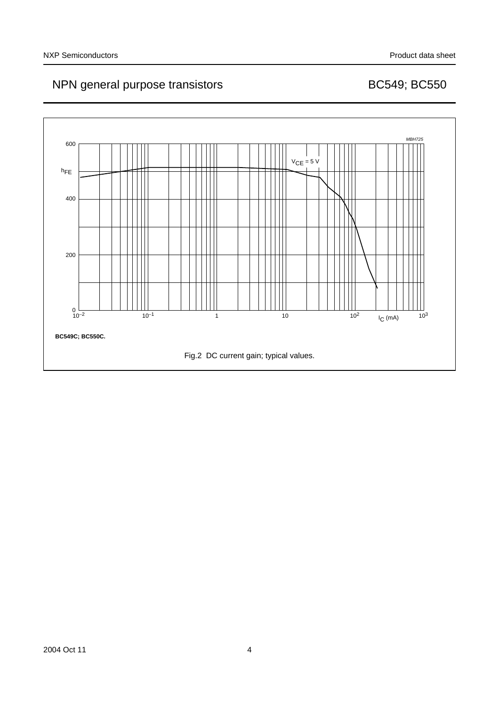# NPN general purpose transistors and a set of the BC549; BC550

<span id="page-3-0"></span>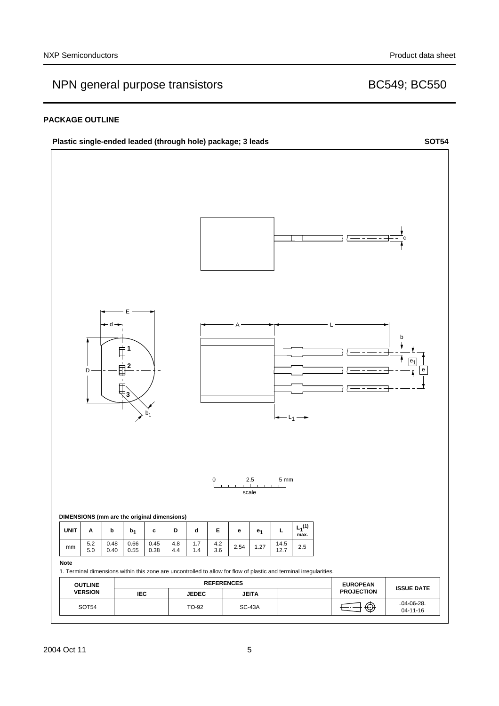# NPN general purpose transistors and the control of the BC549; BC550

#### **PACKAGE OUTLINE**

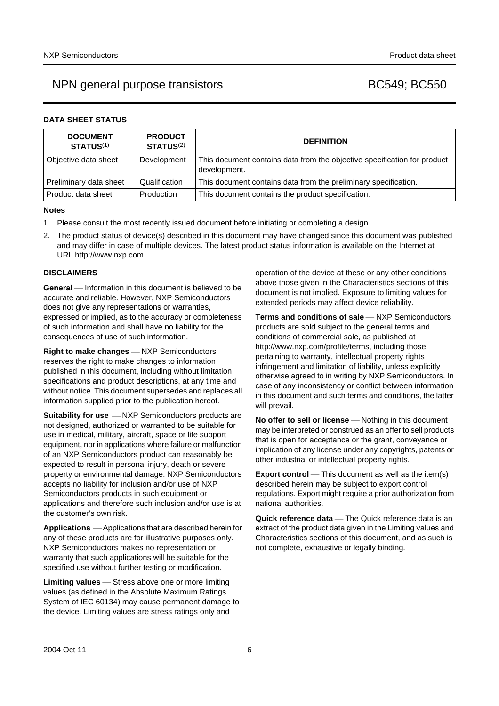## NPN general purpose transistors BC549; BC550

### **DATA SHEET STATUS**

| <b>DOCUMENT</b><br><b>STATUS(1)</b> | <b>PRODUCT</b><br>STATUS <sup>(2)</sup> | <b>DEFINITION</b>                                                                        |
|-------------------------------------|-----------------------------------------|------------------------------------------------------------------------------------------|
| Objective data sheet                | Development                             | This document contains data from the objective specification for product<br>development. |
| Preliminary data sheet              | Qualification                           | This document contains data from the preliminary specification.                          |
| Product data sheet                  | Production                              | This document contains the product specification.                                        |

#### **Notes**

- <span id="page-5-0"></span>1. Please consult the most recently issued document before initiating or completing a design.
- <span id="page-5-1"></span>2. The product status of device(s) described in this document may have changed since this document was published and may differ in case of multiple devices. The latest product status information is available on the Internet at URL http://www.nxp.com.

#### **DISCLAIMERS**

**General** – Information in this document is believed to be accurate and reliable. However, NXP Semiconductors does not give any representations or warranties, expressed or implied, as to the accuracy or completeness of such information and shall have no liability for the consequences of use of such information.

**Right to make changes** - NXP Semiconductors reserves the right to make changes to information published in this document, including without limitation specifications and product descriptions, at any time and without notice. This document supersedes and replaces all information supplied prior to the publication hereof.

**Suitability for use**  $-MXP$  Semiconductors products are not designed, authorized or warranted to be suitable for use in medical, military, aircraft, space or life support equipment, nor in applications where failure or malfunction of an NXP Semiconductors product can reasonably be expected to result in personal injury, death or severe property or environmental damage. NXP Semiconductors accepts no liability for inclusion and/or use of NXP Semiconductors products in such equipment or applications and therefore such inclusion and/or use is at the customer's own risk.

**Applications** ⎯ Applications that are described herein for any of these products are for illustrative purposes only. NXP Semiconductors makes no representation or warranty that such applications will be suitable for the specified use without further testing or modification.

**Limiting values** – Stress above one or more limiting values (as defined in the Absolute Maximum Ratings System of IEC 60134) may cause permanent damage to the device. Limiting values are stress ratings only and

operation of the device at these or any other conditions above those given in the Characteristics sections of this document is not implied. Exposure to limiting values for extended periods may affect device reliability.

**Terms and conditions of sale** - NXP Semiconductors products are sold subject to the general terms and conditions of commercial sale, as published at http://www.nxp.com/profile/terms, including those pertaining to warranty, intellectual property rights infringement and limitation of liability, unless explicitly [otherwise agreed to in writing by NXP Semiconductors. In](http://www.nxp.com/profile/terms)  case of any inconsistency or conflict between information in this document and such terms and conditions, the latter will prevail.

**No offer to sell or license** — Nothing in this document may be interpreted or construed as an offer to sell products that is open for acceptance or the grant, conveyance or implication of any license under any copyrights, patents or other industrial or intellectual property rights.

**Export control** — This document as well as the item(s) described herein may be subject to export control regulations. Export might require a prior authorization from national authorities.

**Quick reference data** - The Quick reference data is an extract of the product data given in the Limiting values and Characteristics sections of this document, and as such is not complete, exhaustive or legally binding.